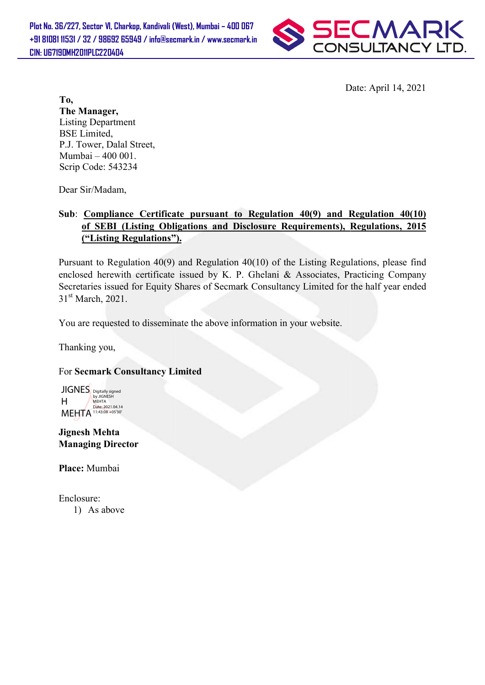

Date: April 14, 2021

To, The Manager, Listing Department BSE Limited, P.J. Tower, Dalal Street, Mumbai – 400 001. Scrip Code: 543234

Dear Sir/Madam,

# Sub: Compliance Certificate pursuant to Regulation 40(9) and Regulation 40(10) of SEBI (Listing Obligations and Disclosure Requirements), Regulations, 2015 ("Listing Regulations"). ("Listing Regulations").

Pursuant to Regulation  $40(9)$  and Regulation  $40(10)$  of the Listing Regulations, please find enclosed herewith certificate issued by K. P. Ghelani & Associates, Practicing Company Secretaries issued for Equity Shares of Secmark Consultancy Limited for the half year ended 31<sup>st</sup> March, 2021. Date: April 14, 2021<br>
t,<br>
t,<br>
t,<br>
t,<br> **startificate pursuant to Regulation 40(9) and Regulation 40(10)**<br> **g Obligations and Disclosure Requirements), Regulations, 2015<br>
tions").**<br>
40(9) and Regulation 40(10) of the Listing

You are requested to disseminate the above information in your website.

Thanking you,

## For Secmark Consultancy Limited

JIGNES Digitally signed H MEHTA 11:43:08 +05'30' MEHTA<br>Date: 2021.04.14

Jignesh Mehta Managing Director

Place: Mumbai

Enclosure: 1) As above